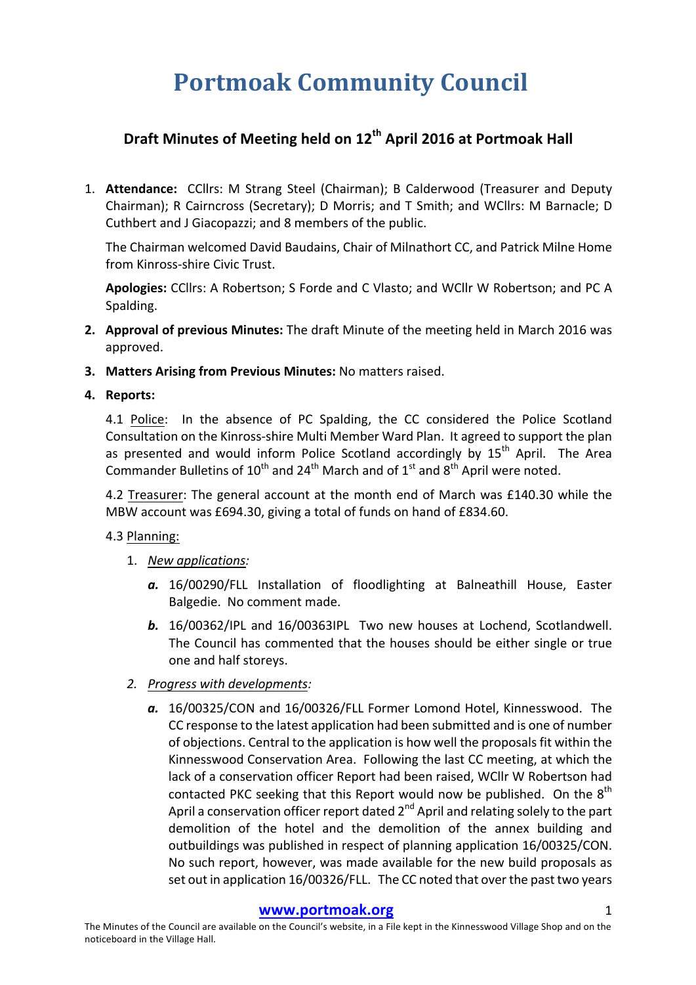# **Portmoak Community Council**

# **Draft Minutes of Meeting held on 12th April 2016 at Portmoak Hall**

1. **Attendance:** CCllrs: M Strang Steel (Chairman); B Calderwood (Treasurer and Deputy Chairman); R Cairncross (Secretary); D Morris; and T Smith; and WCllrs: M Barnacle; D Cuthbert and J Giacopazzi; and 8 members of the public.

The Chairman welcomed David Baudains, Chair of Milnathort CC, and Patrick Milne Home from Kinross-shire Civic Trust.

Apologies: CCllrs: A Robertson; S Forde and C Vlasto; and WCllr W Robertson; and PC A Spalding.

- **2. Approval of previous Minutes:** The draft Minute of the meeting held in March 2016 was approved.
- **3. Matters Arising from Previous Minutes:** No matters raised.
- **4.** Reports:

4.1 Police: In the absence of PC Spalding, the CC considered the Police Scotland Consultation on the Kinross-shire Multi Member Ward Plan. It agreed to support the plan as presented and would inform Police Scotland accordingly by  $15<sup>th</sup>$  April. The Area Commander Bulletins of  $10^{th}$  and  $24^{th}$  March and of  $1^{st}$  and  $8^{th}$  April were noted.

4.2 Treasurer: The general account at the month end of March was £140.30 while the MBW account was £694.30, giving a total of funds on hand of £834.60.

## 4.3 Planning:

- 1. *New applications:*
	- a. 16/00290/FLL Installation of floodlighting at Balneathill House, Easter Balgedie. No comment made.
	- **b.** 16/00362/IPL and 16/00363IPL Two new houses at Lochend, Scotlandwell. The Council has commented that the houses should be either single or true one and half storeys.
- *2. Progress with developments:*
	- a. 16/00325/CON and 16/00326/FLL Former Lomond Hotel, Kinnesswood. The CC response to the latest application had been submitted and is one of number of objections. Central to the application is how well the proposals fit within the Kinnesswood Conservation Area. Following the last CC meeting, at which the lack of a conservation officer Report had been raised, WCllr W Robertson had contacted PKC seeking that this Report would now be published. On the 8<sup>th</sup> April a conservation officer report dated  $2^{nd}$  April and relating solely to the part demolition of the hotel and the demolition of the annex building and outbuildings was published in respect of planning application 16/00325/CON. No such report, however, was made available for the new build proposals as set out in application 16/00326/FLL. The CC noted that over the past two years

#### **www.portmoak.org** 1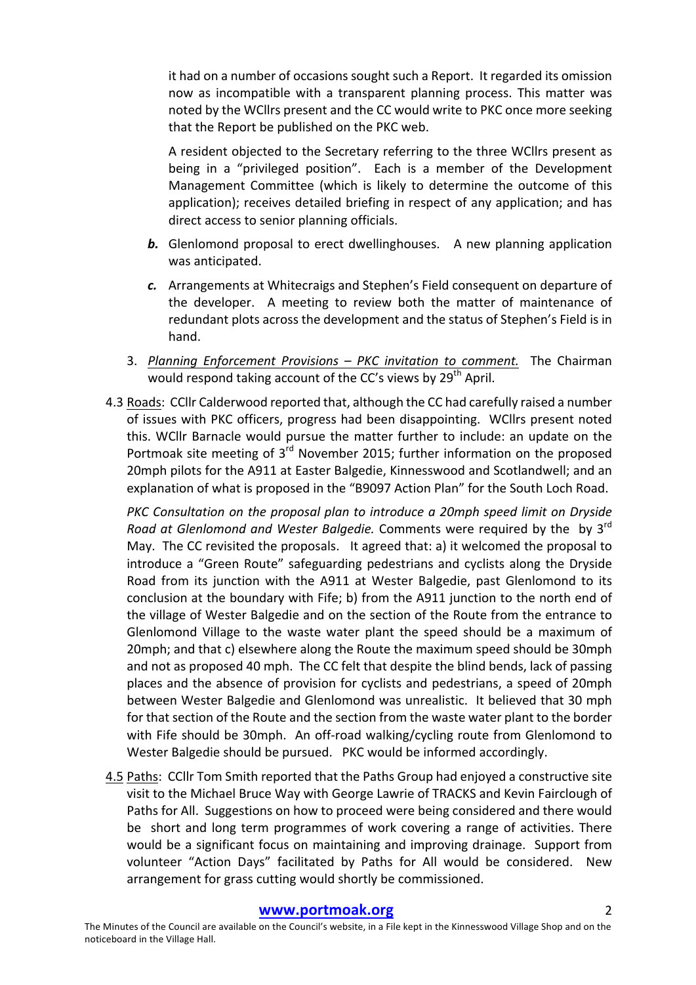it had on a number of occasions sought such a Report. It regarded its omission now as incompatible with a transparent planning process. This matter was noted by the WCllrs present and the CC would write to PKC once more seeking that the Report be published on the PKC web.

A resident objected to the Secretary referring to the three WCllrs present as being in a "privileged position". Each is a member of the Development Management Committee (which is likely to determine the outcome of this application); receives detailed briefing in respect of any application; and has direct access to senior planning officials.

- **b.** Glenlomond proposal to erect dwellinghouses. A new planning application was anticipated.
- **c.** Arrangements at Whitecraigs and Stephen's Field consequent on departure of the developer. A meeting to review both the matter of maintenance of redundant plots across the development and the status of Stephen's Field is in hand.
- 3. Planning *Enforcement Provisions* PKC invitation to comment. The Chairman would respond taking account of the CC's views by 29<sup>th</sup> April.
- 4.3 Roads: CCllr Calderwood reported that, although the CC had carefully raised a number of issues with PKC officers, progress had been disappointing. WCllrs present noted this. WCllr Barnacle would pursue the matter further to include: an update on the Portmoak site meeting of  $3<sup>rd</sup>$  November 2015; further information on the proposed 20mph pilots for the A911 at Easter Balgedie, Kinnesswood and Scotlandwell; and an explanation of what is proposed in the "B9097 Action Plan" for the South Loch Road.

*PKC* Consultation on the proposal plan to introduce a 20mph speed limit on Dryside *Road at Glenlomond and Wester Balgedie.* Comments were required by the by 3<sup>rd</sup> May. The CC revisited the proposals. It agreed that: a) it welcomed the proposal to introduce a "Green Route" safeguarding pedestrians and cyclists along the Dryside Road from its junction with the A911 at Wester Balgedie, past Glenlomond to its conclusion at the boundary with Fife; b) from the A911 junction to the north end of the village of Wester Balgedie and on the section of the Route from the entrance to Glenlomond Village to the waste water plant the speed should be a maximum of 20mph; and that c) elsewhere along the Route the maximum speed should be 30mph and not as proposed 40 mph. The CC felt that despite the blind bends, lack of passing places and the absence of provision for cyclists and pedestrians, a speed of 20mph between Wester Balgedie and Glenlomond was unrealistic. It believed that 30 mph for that section of the Route and the section from the waste water plant to the border with Fife should be 30mph. An off-road walking/cycling route from Glenlomond to Wester Balgedie should be pursued. PKC would be informed accordingly.

4.5 Paths: CCIIr Tom Smith reported that the Paths Group had enioved a constructive site visit to the Michael Bruce Way with George Lawrie of TRACKS and Kevin Fairclough of Paths for All. Suggestions on how to proceed were being considered and there would be short and long term programmes of work covering a range of activities. There would be a significant focus on maintaining and improving drainage. Support from volunteer "Action Days" facilitated by Paths for All would be considered. New arrangement for grass cutting would shortly be commissioned.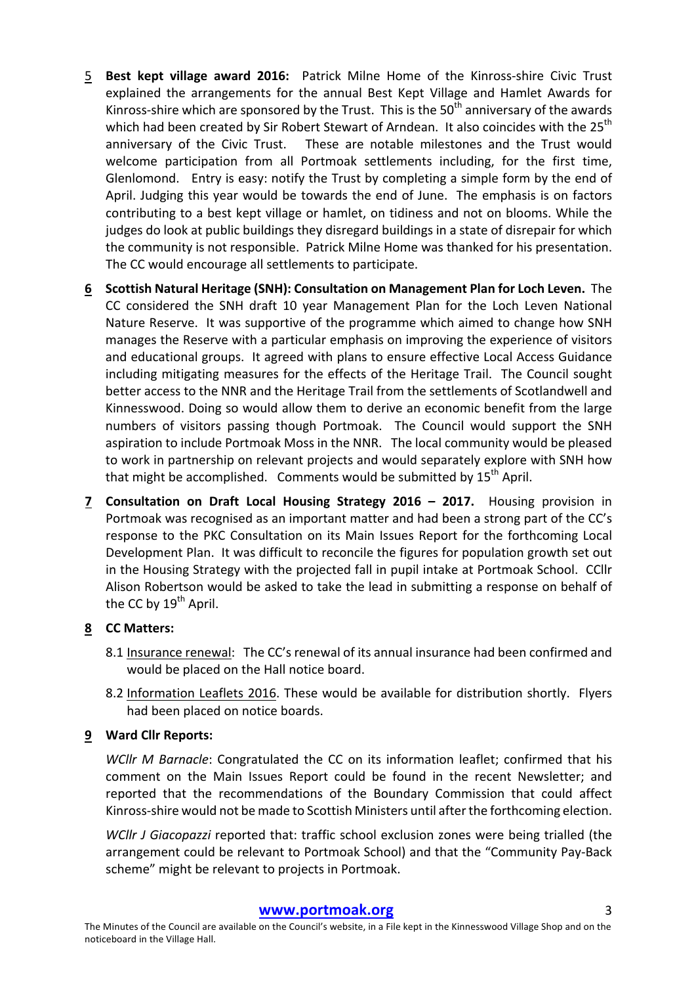- 5 **Best kept village award 2016:** Patrick Milne Home of the Kinross-shire Civic Trust explained the arrangements for the annual Best Kept Village and Hamlet Awards for Kinross-shire which are sponsored by the Trust. This is the  $50<sup>th</sup>$  anniversary of the awards which had been created by Sir Robert Stewart of Arndean. It also coincides with the 25<sup>th</sup> anniversary of the Civic Trust. These are notable milestones and the Trust would welcome participation from all Portmoak settlements including, for the first time, Glenlomond. Entry is easy: notify the Trust by completing a simple form by the end of April. Judging this year would be towards the end of June. The emphasis is on factors contributing to a best kept village or hamlet, on tidiness and not on blooms. While the judges do look at public buildings they disregard buildings in a state of disrepair for which the community is not responsible. Patrick Milne Home was thanked for his presentation. The CC would encourage all settlements to participate.
- **6** Scottish Natural Heritage (SNH): Consultation on Management Plan for Loch Leven. The CC considered the SNH draft 10 year Management Plan for the Loch Leven National Nature Reserve. It was supportive of the programme which aimed to change how SNH manages the Reserve with a particular emphasis on improving the experience of visitors and educational groups. It agreed with plans to ensure effective Local Access Guidance including mitigating measures for the effects of the Heritage Trail. The Council sought better access to the NNR and the Heritage Trail from the settlements of Scotlandwell and Kinnesswood. Doing so would allow them to derive an economic benefit from the large numbers of visitors passing though Portmoak. The Council would support the SNH aspiration to include Portmoak Moss in the NNR. The local community would be pleased to work in partnership on relevant projects and would separately explore with SNH how that might be accomplished. Comments would be submitted by  $15<sup>th</sup>$  April.
- **7 Consultation on Draft Local Housing Strategy 2016 – 2017.**  Housing provision in Portmoak was recognised as an important matter and had been a strong part of the CC's response to the PKC Consultation on its Main Issues Report for the forthcoming Local Development Plan. It was difficult to reconcile the figures for population growth set out in the Housing Strategy with the projected fall in pupil intake at Portmoak School. CCllr Alison Robertson would be asked to take the lead in submitting a response on behalf of the CC by 19<sup>th</sup> April.

# **8 CC Matters:**

- 8.1 Insurance renewal: The CC's renewal of its annual insurance had been confirmed and would be placed on the Hall notice board.
- 8.2 Information Leaflets 2016. These would be available for distribution shortly. Flyers had been placed on notice boards.

# **9 Ward Cllr Reports:**

*WCllr M* Barnacle: Congratulated the CC on its information leaflet; confirmed that his comment on the Main Issues Report could be found in the recent Newsletter; and reported that the recommendations of the Boundary Commission that could affect Kinross-shire would not be made to Scottish Ministers until after the forthcoming election.

*WCllr J Giacopazzi* reported that: traffic school exclusion zones were being trialled (the arrangement could be relevant to Portmoak School) and that the "Community Pay-Back scheme" might be relevant to projects in Portmoak.